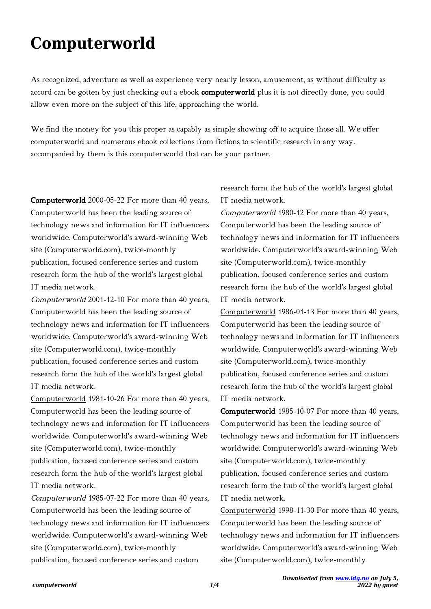## **Computerworld**

As recognized, adventure as well as experience very nearly lesson, amusement, as without difficulty as accord can be gotten by just checking out a ebook computerworld plus it is not directly done, you could allow even more on the subject of this life, approaching the world.

We find the money for you this proper as capably as simple showing off to acquire those all. We offer computerworld and numerous ebook collections from fictions to scientific research in any way. accompanied by them is this computerworld that can be your partner.

Computerworld 2000-05-22 For more than 40 years, Computerworld has been the leading source of technology news and information for IT influencers worldwide. Computerworld's award-winning Web site (Computerworld.com), twice-monthly publication, focused conference series and custom research form the hub of the world's largest global IT media network.

Computerworld 2001-12-10 For more than 40 years, Computerworld has been the leading source of technology news and information for IT influencers worldwide. Computerworld's award-winning Web site (Computerworld.com), twice-monthly publication, focused conference series and custom research form the hub of the world's largest global IT media network.

Computerworld 1981-10-26 For more than 40 years, Computerworld has been the leading source of technology news and information for IT influencers worldwide. Computerworld's award-winning Web site (Computerworld.com), twice-monthly publication, focused conference series and custom research form the hub of the world's largest global IT media network.

Computerworld 1985-07-22 For more than 40 years, Computerworld has been the leading source of technology news and information for IT influencers worldwide. Computerworld's award-winning Web site (Computerworld.com), twice-monthly publication, focused conference series and custom

research form the hub of the world's largest global IT media network.

Computerworld 1980-12 For more than 40 years, Computerworld has been the leading source of technology news and information for IT influencers worldwide. Computerworld's award-winning Web site (Computerworld.com), twice-monthly publication, focused conference series and custom research form the hub of the world's largest global IT media network.

Computerworld 1986-01-13 For more than 40 years, Computerworld has been the leading source of technology news and information for IT influencers worldwide. Computerworld's award-winning Web site (Computerworld.com), twice-monthly publication, focused conference series and custom research form the hub of the world's largest global IT media network.

Computerworld 1985-10-07 For more than 40 years, Computerworld has been the leading source of technology news and information for IT influencers worldwide. Computerworld's award-winning Web site (Computerworld.com), twice-monthly publication, focused conference series and custom research form the hub of the world's largest global IT media network.

Computerworld 1998-11-30 For more than 40 years, Computerworld has been the leading source of technology news and information for IT influencers worldwide. Computerworld's award-winning Web site (Computerworld.com), twice-monthly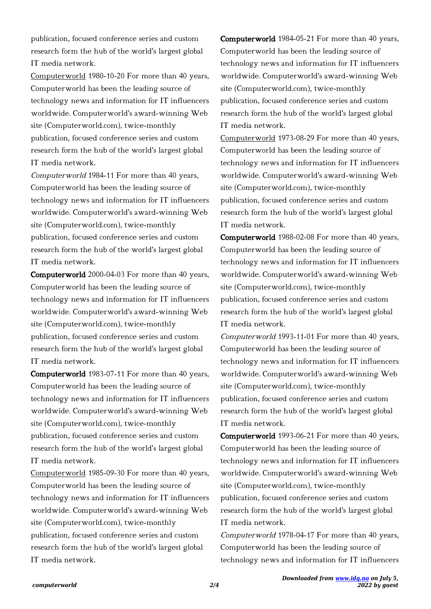publication, focused conference series and custom research form the hub of the world's largest global IT media network.

Computerworld 1980-10-20 For more than 40 years, Computerworld has been the leading source of technology news and information for IT influencers worldwide. Computerworld's award-winning Web site (Computerworld.com), twice-monthly publication, focused conference series and custom research form the hub of the world's largest global IT media network.

Computerworld 1984-11 For more than 40 years, Computerworld has been the leading source of technology news and information for IT influencers worldwide. Computerworld's award-winning Web site (Computerworld.com), twice-monthly publication, focused conference series and custom research form the hub of the world's largest global IT media network.

Computerworld 2000-04-03 For more than 40 years, Computerworld has been the leading source of technology news and information for IT influencers worldwide. Computerworld's award-winning Web site (Computerworld.com), twice-monthly publication, focused conference series and custom research form the hub of the world's largest global IT media network.

Computerworld 1983-07-11 For more than 40 years, Computerworld has been the leading source of technology news and information for IT influencers worldwide. Computerworld's award-winning Web site (Computerworld.com), twice-monthly publication, focused conference series and custom research form the hub of the world's largest global IT media network.

Computerworld 1985-09-30 For more than 40 years, Computerworld has been the leading source of technology news and information for IT influencers worldwide. Computerworld's award-winning Web site (Computerworld.com), twice-monthly publication, focused conference series and custom research form the hub of the world's largest global IT media network.

Computerworld 1984-05-21 For more than 40 years, Computerworld has been the leading source of technology news and information for IT influencers worldwide. Computerworld's award-winning Web site (Computerworld.com), twice-monthly publication, focused conference series and custom research form the hub of the world's largest global IT media network.

Computerworld 1973-08-29 For more than 40 years, Computerworld has been the leading source of technology news and information for IT influencers worldwide. Computerworld's award-winning Web site (Computerworld.com), twice-monthly publication, focused conference series and custom research form the hub of the world's largest global IT media network.

Computerworld 1988-02-08 For more than 40 years, Computerworld has been the leading source of technology news and information for IT influencers worldwide. Computerworld's award-winning Web site (Computerworld.com), twice-monthly publication, focused conference series and custom research form the hub of the world's largest global IT media network.

Computerworld 1993-11-01 For more than 40 years, Computerworld has been the leading source of technology news and information for IT influencers worldwide. Computerworld's award-winning Web site (Computerworld.com), twice-monthly publication, focused conference series and custom research form the hub of the world's largest global IT media network.

Computerworld 1993-06-21 For more than 40 years, Computerworld has been the leading source of technology news and information for IT influencers worldwide. Computerworld's award-winning Web site (Computerworld.com), twice-monthly publication, focused conference series and custom research form the hub of the world's largest global IT media network.

Computerworld 1978-04-17 For more than 40 years, Computerworld has been the leading source of technology news and information for IT influencers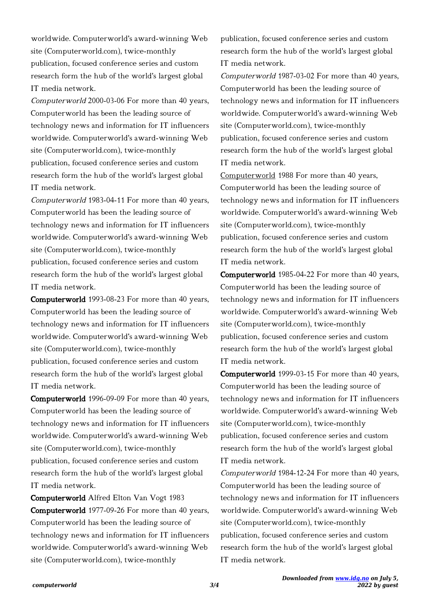worldwide. Computerworld's award-winning Web site (Computerworld.com), twice-monthly publication, focused conference series and custom research form the hub of the world's largest global IT media network.

Computerworld 2000-03-06 For more than 40 years, Computerworld has been the leading source of technology news and information for IT influencers worldwide. Computerworld's award-winning Web site (Computerworld.com), twice-monthly publication, focused conference series and custom research form the hub of the world's largest global IT media network.

Computerworld 1983-04-11 For more than 40 years, Computerworld has been the leading source of technology news and information for IT influencers worldwide. Computerworld's award-winning Web site (Computerworld.com), twice-monthly publication, focused conference series and custom research form the hub of the world's largest global IT media network.

Computerworld 1993-08-23 For more than 40 years, Computerworld has been the leading source of technology news and information for IT influencers worldwide. Computerworld's award-winning Web site (Computerworld.com), twice-monthly publication, focused conference series and custom research form the hub of the world's largest global IT media network.

Computerworld 1996-09-09 For more than 40 years, Computerworld has been the leading source of technology news and information for IT influencers worldwide. Computerworld's award-winning Web site (Computerworld.com), twice-monthly publication, focused conference series and custom research form the hub of the world's largest global IT media network.

Computerworld Alfred Elton Van Vogt 1983 Computerworld 1977-09-26 For more than 40 years, Computerworld has been the leading source of technology news and information for IT influencers worldwide. Computerworld's award-winning Web site (Computerworld.com), twice-monthly

publication, focused conference series and custom research form the hub of the world's largest global IT media network.

Computerworld 1987-03-02 For more than 40 years, Computerworld has been the leading source of technology news and information for IT influencers worldwide. Computerworld's award-winning Web site (Computerworld.com), twice-monthly publication, focused conference series and custom research form the hub of the world's largest global IT media network.

Computerworld 1988 For more than 40 years, Computerworld has been the leading source of technology news and information for IT influencers worldwide. Computerworld's award-winning Web site (Computerworld.com), twice-monthly publication, focused conference series and custom research form the hub of the world's largest global IT media network.

Computerworld 1985-04-22 For more than 40 years, Computerworld has been the leading source of technology news and information for IT influencers worldwide. Computerworld's award-winning Web site (Computerworld.com), twice-monthly publication, focused conference series and custom research form the hub of the world's largest global IT media network.

Computerworld 1999-03-15 For more than 40 years, Computerworld has been the leading source of technology news and information for IT influencers worldwide. Computerworld's award-winning Web site (Computerworld.com), twice-monthly publication, focused conference series and custom research form the hub of the world's largest global IT media network.

Computerworld 1984-12-24 For more than 40 years, Computerworld has been the leading source of technology news and information for IT influencers worldwide. Computerworld's award-winning Web site (Computerworld.com), twice-monthly publication, focused conference series and custom research form the hub of the world's largest global IT media network.